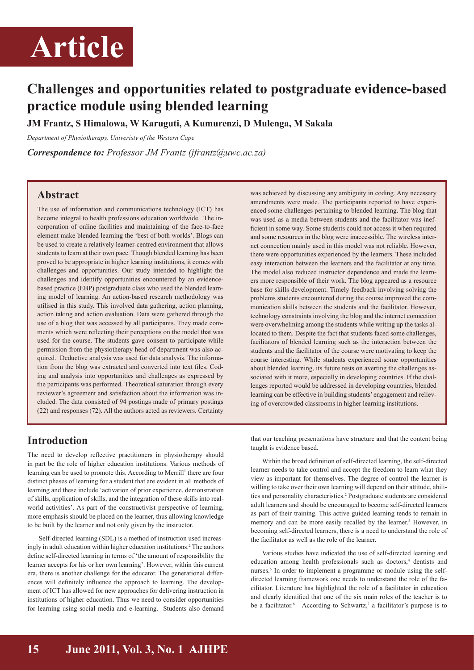

## **Challenges and opportunities related to postgraduate evidence-based practice module using blended learning**

**JM Frantz, S Himalowa, W Karuguti, A Kumurenzi, D Mulenga, M Sakala** 

*Department of Physiotherapy, Univeristy of the Western Cape*

*Correspondence to: Professor JM Frantz (jfrantz@uwc.ac.za)*

### **Abstract**

The use of information and communications technology (ICT) has become integral to health professions education worldwide. The incorporation of online facilities and maintaining of the face-to-face element make blended learning the 'best of both worlds'. Blogs can be used to create a relatively learner-centred environment that allows students to learn at their own pace. Though blended learning has been proved to be appropriate in higher learning institutions, it comes with challenges and opportunities. Our study intended to highlight the challenges and identify opportunities encountered by an evidencebased practice (EBP) postgraduate class who used the blended learning model of learning. An action-based research methodology was utilised in this study. This involved data gathering, action planning, action taking and action evaluation. Data were gathered through the use of a blog that was accessed by all participants. They made comments which were reflecting their perceptions on the model that was used for the course. The students gave consent to participate while permission from the physiotherapy head of department was also acquired. Deductive analysis was used for data analysis. The information from the blog was extracted and converted into text files. Coding and analysis into opportunities and challenges as expressed by the participants was performed. Theoretical saturation through every reviewer's agreement and satisfaction about the information was included. The data consisted of 94 postings made of primary postings (22) and responses (72). All the authors acted as reviewers. Certainty

was achieved by discussing any ambiguity in coding. Any necessary amendments were made. The participants reported to have experienced some challenges pertaining to blended learning. The blog that was used as a media between students and the facilitator was inefficient in some way. Some students could not access it when required and some resources in the blog were inaccessible. The wireless internet connection mainly used in this model was not reliable. However, there were opportunities experienced by the learners. These included easy interaction between the learners and the facilitator at any time. The model also reduced instructor dependence and made the learners more responsible of their work. The blog appeared as a resource base for skills development. Timely feedback involving solving the problems students encountered during the course improved the communication skills between the students and the facilitator. However, technology constraints involving the blog and the internet connection were overwhelming among the students while writing up the tasks allocated to them. Despite the fact that students faced some challenges, facilitators of blended learning such as the interaction between the students and the facilitator of the course were motivating to keep the course interesting. While students experienced some opportunities about blended learning, its future rests on averting the challenges associated with it more, especially in developing countries. If the challenges reported would be addressed in developing countries, blended learning can be effective in building students' engagement and relieving of overcrowded classrooms in higher learning institutions.

### **Introduction**

The need to develop reflective practitioners in physiotherapy should in part be the role of higher education institutions. Various methods of learning can be used to promote this. According to Merrill<sup>1</sup> there are four distinct phases of learning for a student that are evident in all methods of learning and these include 'activation of prior experience, demonstration of skills, application of skills, and the integration of these skills into realworld activities'. As part of the constructivist perspective of learning, more emphasis should be placed on the learner, thus allowing knowledge to be built by the learner and not only given by the instructor.

Self-directed learning (SDL) is a method of instruction used increasingly in adult education within higher education institutions.<sup>2</sup> The authors define self-directed learning in terms of 'the amount of responsibility the learner accepts for his or her own learning'. However, within this current era, there is another challenge for the educator. The generational differences will definitely influence the approach to learning. The development of ICT has allowed for new approaches for delivering instruction in institutions of higher education. Thus we need to consider opportunities for learning using social media and e-learning. Students also demand

that our teaching presentations have structure and that the content being taught is evidence based.

Within the broad definition of self-directed learning, the self-directed learner needs to take control and accept the freedom to learn what they view as important for themselves. The degree of control the learner is willing to take over their own learning will depend on their attitude, abilities and personality characteristics.<sup>2</sup> Postgraduate students are considered adult learners and should be encouraged to become self-directed learners as part of their training. This active guided learning tends to remain in memory and can be more easily recalled by the learner.<sup>3</sup> However, in becoming self-directed learners, there is a need to understand the role of the facilitator as well as the role of the learner.

Various studies have indicated the use of self-directed learning and education among health professionals such as doctors,<sup>4</sup> dentists and nurses.<sup>5</sup> In order to implement a programme or module using the selfdirected learning framework one needs to understand the role of the facilitator. Literature has highlighted the role of a facilitator in education and clearly identified that one of the six main roles of the teacher is to be a facilitator. According to Schwartz,<sup>7</sup> a facilitator's purpose is to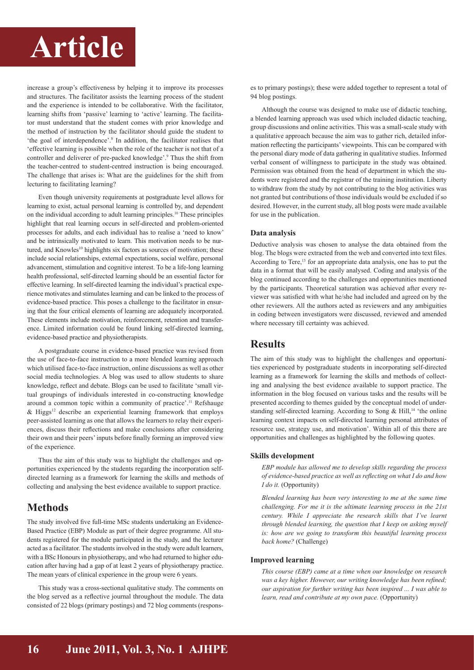# **Article**

increase a group's effectiveness by helping it to improve its processes and structures. The facilitator assists the learning process of the student and the experience is intended to be collaborative. With the facilitator, learning shifts from 'passive' learning to 'active' learning. The facilitator must understand that the student comes with prior knowledge and the method of instruction by the facilitator should guide the student to 'the goal of interdependence'.<sup>8</sup> In addition, the facilitator realises that 'effective learning is possible when the role of the teacher is not that of a controller and deliverer of pre-packed knowledge'.9 Thus the shift from the teacher-centred to student-centred instruction is being encouraged. The challenge that arises is: What are the guidelines for the shift from lecturing to facilitating learning?

Even though university requirements at postgraduate level allows for learning to exist, actual personal learning is controlled by, and dependent on the individual according to adult learning principles.<sup>10</sup> These principles highlight that real learning occurs in self-directed and problem-oriented processes for adults, and each individual has to realise a 'need to know' and be intrinsically motivated to learn. This motivation needs to be nurtured, and Knowles<sup>10</sup> highlights six factors as sources of motivation; these include social relationships, external expectations, social welfare, personal advancement, stimulation and cognitive interest. To be a life-long learning health professional, self-directed learning should be an essential factor for effective learning. In self-directed learning the individual's practical experience motivates and stimulates learning and can be linked to the process of evidence-based practice. This poses a challenge to the facilitator in ensuring that the four critical elements of learning are adequately incorporated. These elements include motivation, reinforcement, retention and transference. Limited information could be found linking self-directed learning, evidence-based practice and physiotherapists.

A postgraduate course in evidence-based practice was revised from the use of face-to-face instruction to a more blended learning approach which utilised face-to-face instruction, online discussions as well as other social media technologies. A blog was used to allow students to share knowledge, reflect and debate. Blogs can be used to facilitate 'small virtual groupings of individuals interested in co-constructing knowledge around a common topic within a community of practice'.<sup>11</sup> Refshauge  $\&$  Higgs<sup>12</sup> describe an experiential learning framework that employs peer-assisted learning as one that allows the learners to relay their experiences, discuss their reflections and make conclusions after considering their own and their peers' inputs before finally forming an improved view of the experience.

Thus the aim of this study was to highlight the challenges and opportunities experienced by the students regarding the incorporation selfdirected learning as a framework for learning the skills and methods of collecting and analysing the best evidence available to support practice.

## **Methods**

The study involved five full-time MSc students undertaking an Evidence-Based Practice (EBP) Module as part of their degree programme. All students registered for the module participated in the study, and the lecturer acted as a facilitator. The students involved in the study were adult learners, with a BSc Honours in physiotherapy, and who had returned to higher education after having had a gap of at least 2 years of physiotherapy practice. The mean years of clinical experience in the group were 6 years.

This study was a cross-sectional qualitative study. The comments on the blog served as a reflective journal throughout the module. The data consisted of 22 blogs (primary postings) and 72 blog comments (responses to primary postings); these were added together to represent a total of 94 blog postings.

Although the course was designed to make use of didactic teaching, a blended learning approach was used which included didactic teaching, group discussions and online activities. This was a small-scale study with a qualitative approach because the aim was to gather rich, detailed information reflecting the participants' viewpoints. This can be compared with the personal diary mode of data gathering in qualitative studies. Informed verbal consent of willingness to participate in the study was obtained. Permission was obtained from the head of department in which the students were registered and the registrar of the training institution. Liberty to withdraw from the study by not contributing to the blog activities was not granted but contributions of those individuals would be excluded if so desired. However, in the current study, all blog posts were made available for use in the publication.

#### **Data analysis**

Deductive analysis was chosen to analyse the data obtained from the blog. The blogs were extracted from the web and converted into text files. According to Tere,<sup>13</sup> for an appropriate data analysis, one has to put the data in a format that will be easily analysed. Coding and analysis of the blog continued according to the challenges and opportunities mentioned by the participants. Theoretical saturation was achieved after every reviewer was satisfied with what he/she had included and agreed on by the other reviewers. All the authors acted as reviewers and any ambiguities in coding between investigators were discussed, reviewed and amended where necessary till certainty was achieved.

### **Results**

The aim of this study was to highlight the challenges and opportunities experienced by postgraduate students in incorporating self-directed learning as a framework for learning the skills and methods of collecting and analysing the best evidence available to support practice. The information in the blog focused on various tasks and the results will be presented according to themes guided by the conceptual model of understanding self-directed learning. According to Song & Hill,<sup>14</sup> 'the online learning context impacts on self-directed learning personal attributes of resource use, strategy use, and motivation'. Within all of this there are opportunities and challenges as highlighted by the following quotes.

#### **Skills development**

*EBP module has allowed me to develop skills regarding the process of evidence-based practice as well as reflecting on what I do and how I do it.* (Opportunity)

*Blended learning has been very interesting to me at the same time challenging. For me it is the ultimate learning process in the 21st century. While I appreciate the research skills that I've learnt through blended learning, the question that I keep on asking myself is: how are we going to transform this beautiful learning process back home?* (Challenge)

### **Improved learning**

*This course (EBP) came at a time when our knowledge on research was a key higher. However, our writing knowledge has been refined; our aspiration for further writing has been inspired ... I was able to learn, read and contribute at my own pace.* (Opportunity)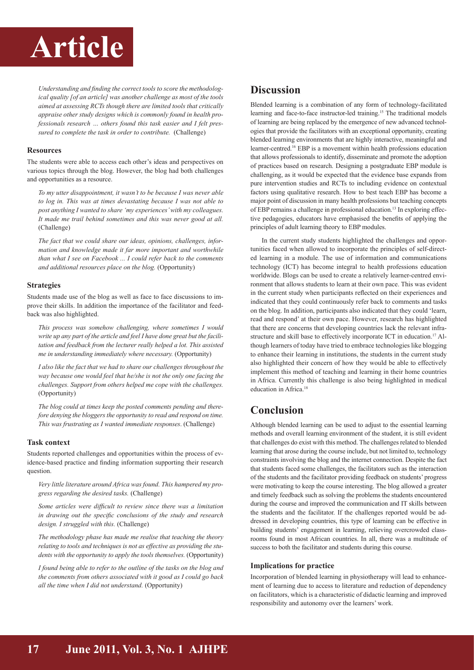## **Article**

*Understanding and finding the correct tools to score the methodological quality [of an article] was another challenge as most of the tools aimed at assessing RCTs though there are limited tools that critically appraise other study designs which is commonly found in health professionals research … others found this task easier and I felt pressured to complete the task in order to contribute.* (Challenge)

### **Resources**

The students were able to access each other's ideas and perspectives on various topics through the blog. However, the blog had both challenges and opportunities as a resource.

*To my utter disappointment, it wasn't to be because I was never able to log in. This was at times devastating because I was not able to post anything I wanted to share 'my experiences' with my colleagues. It made me trail behind sometimes and this was never good at all.*  (Challenge)

*The fact that we could share our ideas, opinions, challenges, information and knowledge made it far more important and worthwhile than what I see on Facebook ... I could refer back to the comments and additional resources place on the blog.* (Opportunity)

### **Strategies**

Students made use of the blog as well as face to face discussions to improve their skills. In addition the importance of the facilitator and feedback was also highlighted.

*This process was somehow challenging, where sometimes I would write up any part of the article and feel I have done great but the facilitation and feedback from the lecturer really helped a lot. This assisted me in understanding immediately where necessary.* (Opportunity)

*I also like the fact that we had to share our challenges throughout the way because one would feel that he/she is not the only one facing the challenges. Support from others helped me cope with the challenges.* (Opportunity)

*The blog could at times keep the posted comments pending and therefore denying the bloggers the opportunity to read and respond on time. This was frustrating as I wanted immediate responses*. (Challenge)

### **Task context**

Students reported challenges and opportunities within the process of evidence-based practice and finding information supporting their research question.

*Very little literature around Africa was found. This hampered my progress regarding the desired tasks.* (Challenge)

*Some articles were difficult to review since there was a limitation in drawing out the specific conclusions of the study and research design. I struggled with this.* (Challenge)

*The methodology phase has made me realise that teaching the theory relating to tools and techniques is not as effective as providing the students with the opportunity to apply the tools themselves.* (Opportunity)

*I found being able to refer to the outline of the tasks on the blog and the comments from others associated with it good as I could go back all the time when I did not understand.* (Opportunity)

## **Discussion**

Blended learning is a combination of any form of technology-facilitated learning and face-to-face instructor-led training.<sup>15</sup> The traditional models of learning are being replaced by the emergence of new advanced technologies that provide the facilitators with an exceptional opportunity, creating blended learning environments that are highly interactive, meaningful and learner-centred.<sup>16</sup> EBP is a movement within health professions education that allows professionals to identify, disseminate and promote the adoption of practices based on research. Designing a postgraduate EBP module is challenging, as it would be expected that the evidence base expands from pure intervention studies and RCTs to including evidence on contextual factors using qualitative research. How to best teach EBP has become a major point of discussion in many health professions but teaching concepts of EBP remains a challenge in professional education.<sup>13</sup> In exploring effective pedagogies, educators have emphasised the benefits of applying the principles of adult learning theory to EBP modules.

In the current study students highlighted the challenges and opportunities faced when allowed to incorporate the principles of self-directed learning in a module. The use of information and communications technology (ICT) has become integral to health professions education worldwide. Blogs can be used to create a relatively learner-centred environment that allows students to learn at their own pace. This was evident in the current study when participants reflected on their experiences and indicated that they could continuously refer back to comments and tasks on the blog. In addition, participants also indicated that they could 'learn, read and respond' at their own pace. However, research has highlighted that there are concerns that developing countries lack the relevant infrastructure and skill base to effectively incorporate ICT in education.<sup>17</sup> Although learners of today have tried to embrace technologies like blogging to enhance their learning in institutions, the students in the current study also highlighted their concern of how they would be able to effectively implement this method of teaching and learning in their home countries in Africa. Currently this challenge is also being highlighted in medical education in Africa.<sup>18</sup>

## **Conclusion**

Although blended learning can be used to adjust to the essential learning methods and overall learning environment of the student, it is still evident that challenges do exist with this method. The challenges related to blended learning that arose during the course include, but not limited to, technology constraints involving the blog and the internet connection. Despite the fact that students faced some challenges, the facilitators such as the interaction of the students and the facilitator providing feedback on students' progress were motivating to keep the course interesting. The blog allowed a greater and timely feedback such as solving the problems the students encountered during the course and improved the communication and IT skills between the students and the facilitator. If the challenges reported would be addressed in developing countries, this type of learning can be effective in building students' engagement in learning, relieving overcrowded classrooms found in most African countries. In all, there was a multitude of success to both the facilitator and students during this course.

### **Implications for practice**

Incorporation of blended learning in physiotherapy will lead to enhancement of learning due to access to literature and reduction of dependency on facilitators, which is a characteristic of didactic learning and improved responsibility and autonomy over the learners' work.